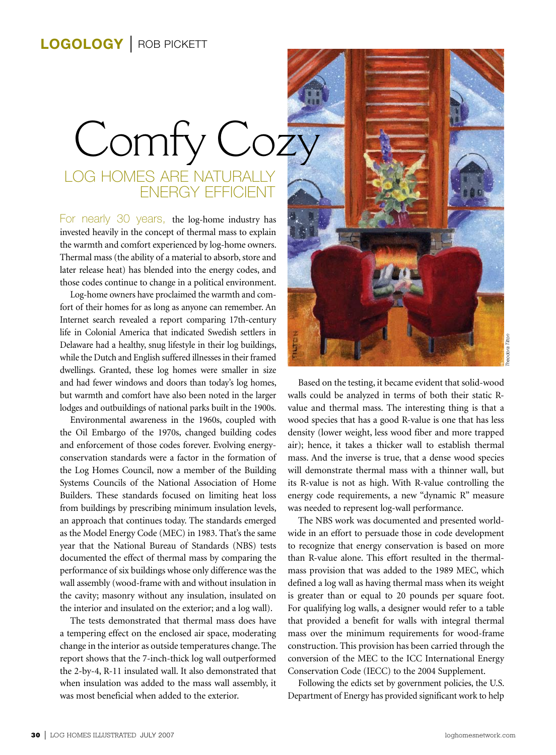## Log homes are naturally energy efficient Comfy Coz

For nearly 30 years, the log-home industry has invested heavily in the concept of thermal mass to explain the warmth and comfort experienced by log-home owners. Thermal mass (the ability of a material to absorb, store and later release heat) has blended into the energy codes, and those codes continue to change in a political environment.

Log-home owners have proclaimed the warmth and comfort of their homes for as long as anyone can remember. An Internet search revealed a report comparing 17th-century life in Colonial America that indicated Swedish settlers in Delaware had a healthy, snug lifestyle in their log buildings, while the Dutch and English suffered illnesses in their framed dwellings. Granted, these log homes were smaller in size and had fewer windows and doors than today's log homes, but warmth and comfort have also been noted in the larger lodges and outbuildings of national parks built in the 1900s.

**13** Loghome band a habithy, sing lifestive in their log bistlings.<br> **30** Volking the behavior and Bigits and their log bistlings. The state of the fit frame in the ULA comparison and all of the most of the logical state o Environmental awareness in the 1960s, coupled with the Oil Embargo of the 1970s, changed building codes and enforcement of those codes forever. Evolving energyconservation standards were a factor in the formation of the Log Homes Council, now a member of the Building Systems Councils of the National Association of Home Builders. These standards focused on limiting heat loss from buildings by prescribing minimum insulation levels, an approach that continues today. The standards emerged as the Model Energy Code (MEC) in 1983. That's the same year that the National Bureau of Standards (NBS) tests documented the effect of thermal mass by comparing the performance of six buildings whose only difference was the wall assembly (wood-frame with and without insulation in the cavity; masonry without any insulation, insulated on the interior and insulated on the exterior; and a log wall).

The tests demonstrated that thermal mass does have a tempering effect on the enclosed air space, moderating change in the interior as outside temperatures change. The report shows that the 7-inch-thick log wall outperformed the 2-by-4, R-11 insulated wall. It also demonstrated that when insulation was added to the mass wall assembly, it was most beneficial when added to the exterior.



Based on the testing, it became evident that solid-wood walls could be analyzed in terms of both their static Rvalue and thermal mass. The interesting thing is that a wood species that has a good R-value is one that has less density (lower weight, less wood fiber and more trapped air); hence, it takes a thicker wall to establish thermal mass. And the inverse is true, that a dense wood species will demonstrate thermal mass with a thinner wall, but its R-value is not as high. With R-value controlling the energy code requirements, a new "dynamic R" measure was needed to represent log-wall performance.

The NBS work was documented and presented worldwide in an effort to persuade those in code development to recognize that energy conservation is based on more than R-value alone. This effort resulted in the thermalmass provision that was added to the 1989 MEC, which defined a log wall as having thermal mass when its weight is greater than or equal to 20 pounds per square foot. For qualifying log walls, a designer would refer to a table that provided a benefit for walls with integral thermal mass over the minimum requirements for wood-frame construction. This provision has been carried through the conversion of the MEC to the ICC International Energy Conservation Code (IECC) to the 2004 Supplement.

Following the edicts set by government policies, the U.S. Department of Energy has provided significant work to help